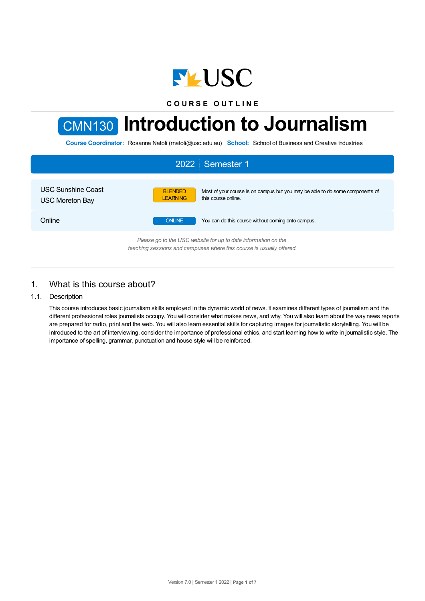

**C O U R S E O U T L I N E**

# CMN130 **Introduction to Journalism**

**Course Coordinator:** Rosanna Natoli (rnatoli@usc.edu.au) **School:** School of Business and Creative Industries



# 1. What is this course about?

### 1.1. Description

This course introduces basic journalism skills employed in the dynamic world of news. It examines different types of journalism and the different professional roles journalists occupy. You will consider what makes news, and why. You will also learn about the way news reports are prepared for radio, print and the web. You will also learn essential skills for capturing images for journalistic storytelling. You will be introduced to the art of interviewing, consider the importance of professional ethics, and start learning how to write in journalistic style. The importance of spelling, grammar, punctuation and house style will be reinforced.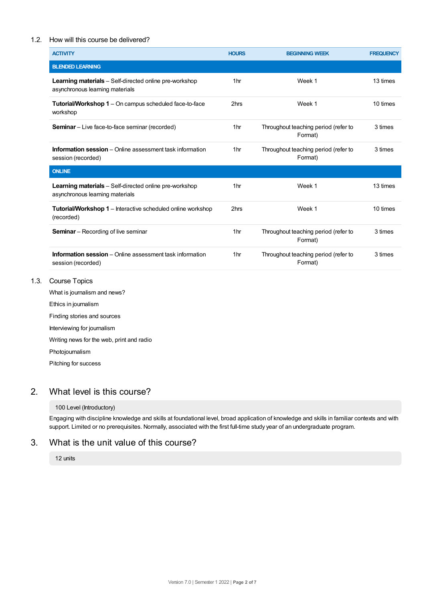## 1.2. How will this course be delivered?

| <b>ACTIVITY</b>                                                                                  | <b>HOURS</b>    | <b>BEGINNING WEEK</b>                           | <b>FREQUENCY</b> |
|--------------------------------------------------------------------------------------------------|-----------------|-------------------------------------------------|------------------|
| <b>BLENDED LEARNING</b>                                                                          |                 |                                                 |                  |
| <b>Learning materials</b> – Self-directed online pre-workshop<br>asynchronous learning materials | 1 <sub>hr</sub> | Week 1                                          | 13 times         |
| <b>Tutorial/Workshop 1</b> – On campus scheduled face-to-face<br>workshop                        | 2hrs            | Week 1                                          | 10 times         |
| <b>Seminar</b> – Live face-to-face seminar (recorded)                                            | 1 <sub>hr</sub> | Throughout teaching period (refer to<br>Format) | 3 times          |
| <b>Information session</b> – Online assessment task information<br>session (recorded)            | 1 <sub>hr</sub> | Throughout teaching period (refer to<br>Format) | 3 times          |
| <b>ONLINE</b>                                                                                    |                 |                                                 |                  |
| <b>Learning materials</b> – Self-directed online pre-workshop<br>asynchronous learning materials | 1 <sub>hr</sub> | Week 1                                          | 13 times         |
| <b>Tutorial/Workshop 1</b> – Interactive scheduled online workshop<br>(recorded)                 | 2hrs            | Week 1                                          | 10 times         |
| <b>Seminar</b> – Recording of live seminar                                                       | 1 <sub>hr</sub> | Throughout teaching period (refer to<br>Format) | 3 times          |
| <b>Information session</b> – Online assessment task information<br>session (recorded)            | 1 <sub>hr</sub> | Throughout teaching period (refer to<br>Format) | 3 times          |

1.3. Course Topics

What is journalism and news? Ethics in journalism

Finding stories and sources Interviewing for journalism

Writing news for the web, print and radio

Photojournalism

Pitching for success

# 2. What level is this course?

## 100 Level (Introductory)

Engaging with discipline knowledge and skills at foundational level, broad application of knowledge and skills in familiar contexts and with support. Limited or no prerequisites. Normally, associated with the first full-time study year of an undergraduate program.

# 3. What is the unit value of this course?

12 units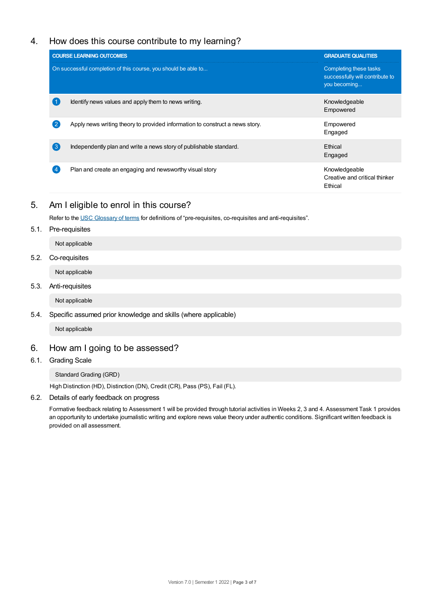# 4. How does this course contribute to my learning?

|                                                                | <b>COURSE LEARNING OUTCOMES</b>                                              | <b>GRADUATE QUALITIES</b>                                                 |
|----------------------------------------------------------------|------------------------------------------------------------------------------|---------------------------------------------------------------------------|
| On successful completion of this course, you should be able to |                                                                              | Completing these tasks<br>successfully will contribute to<br>you becoming |
|                                                                | Identify news values and apply them to news writing.                         | Knowledgeable<br>Empowered                                                |
|                                                                | Apply news writing theory to provided information to construct a news story. | Empowered<br>Engaged                                                      |
| 〔3〕                                                            | Independently plan and write a news story of publishable standard.           | Ethical<br>Engaged                                                        |
|                                                                | Plan and create an engaging and newsworthy visual story                      | Knowledgeable<br>Creative and critical thinker<br>Ethical                 |

# 5. Am Ieligible to enrol in this course?

Refer to the USC [Glossary](https://www.usc.edu.au/about/policies-and-procedures/glossary-of-terms-for-policy-and-procedures) of terms for definitions of "pre-requisites, co-requisites and anti-requisites".

5.1. Pre-requisites

Not applicable

## 5.2. Co-requisites

Not applicable

## 5.3. Anti-requisites

Not applicable

## 5.4. Specific assumed prior knowledge and skills (where applicable)

Not applicable

# 6. How am Igoing to be assessed?

### 6.1. Grading Scale

Standard Grading (GRD)

High Distinction (HD), Distinction (DN), Credit (CR), Pass (PS), Fail (FL).

6.2. Details of early feedback on progress

Formative feedback relating to Assessment 1 will be provided through tutorial activities in Weeks 2, 3 and 4. Assessment Task 1 provides an opportunity to undertake journalistic writing and explore news value theory under authentic conditions. Significant written feedback is provided on all assessment.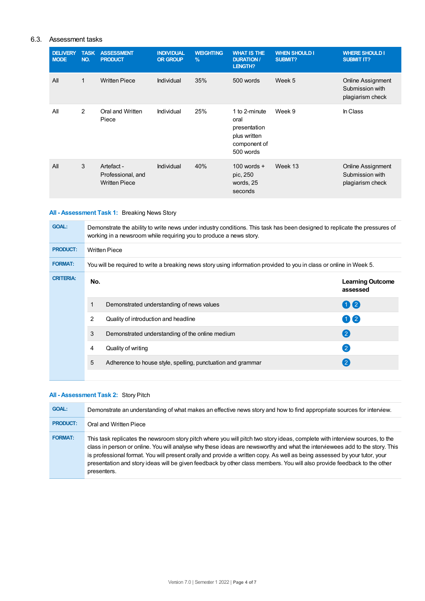# 6.3. Assessment tasks

| <b>DELIVERY</b><br><b>MODE</b> | <b>TASK</b><br>NO. | <b>ASSESSMENT</b><br><b>PRODUCT</b>                     | <b>INDIVIDUAL</b><br><b>OR GROUP</b> | <b>WEIGHTING</b><br>$\frac{9}{6}$ | <b>WHAT IS THE</b><br><b>DURATION/</b><br>LENGTH?                                  | <b>WHEN SHOULD I</b><br>SUBMIT? | <b>WHERE SHOULD I</b><br><b>SUBMIT IT?</b>                      |
|--------------------------------|--------------------|---------------------------------------------------------|--------------------------------------|-----------------------------------|------------------------------------------------------------------------------------|---------------------------------|-----------------------------------------------------------------|
| All                            | $\mathbf{1}$       | <b>Written Piece</b>                                    | Individual                           | 35%                               | 500 words                                                                          | Week 5                          | <b>Online Assignment</b><br>Submission with<br>plagiarism check |
| All                            | $\overline{2}$     | Oral and Written<br>Piece                               | Individual                           | 25%                               | 1 to 2-minute<br>oral<br>presentation<br>plus written<br>component of<br>500 words | Week 9                          | In Class                                                        |
| All                            | 3                  | Artefact -<br>Professional, and<br><b>Written Piece</b> | Individual                           | 40%                               | 100 words $+$<br>pic, 250<br>words, 25<br>seconds                                  | Week 13                         | <b>Online Assignment</b><br>Submission with<br>plagiarism check |

# **All - Assessment Task 1:** Breaking News Story

| <b>GOAL:</b>     | Demonstrate the ability to write news under industry conditions. This task has been designed to replicate the pressures of<br>working in a newsroom while requiring you to produce a news story. |                                                             |                                     |  |  |
|------------------|--------------------------------------------------------------------------------------------------------------------------------------------------------------------------------------------------|-------------------------------------------------------------|-------------------------------------|--|--|
| <b>PRODUCT:</b>  | <b>Written Piece</b>                                                                                                                                                                             |                                                             |                                     |  |  |
| <b>FORMAT:</b>   | You will be required to write a breaking news story using information provided to you in class or online in Week 5.                                                                              |                                                             |                                     |  |  |
| <b>CRITERIA:</b> | No.                                                                                                                                                                                              |                                                             | <b>Learning Outcome</b><br>assessed |  |  |
|                  |                                                                                                                                                                                                  | Demonstrated understanding of news values                   | 02                                  |  |  |
|                  | $\overline{2}$                                                                                                                                                                                   | Quality of introduction and headline                        | $\mathbf{\Omega}$                   |  |  |
|                  | 3                                                                                                                                                                                                | Demonstrated understanding of the online medium             | $\left( 2\right)$                   |  |  |
|                  | 4                                                                                                                                                                                                | Quality of writing                                          | $\left( 2\right)$                   |  |  |
|                  | 5                                                                                                                                                                                                | Adherence to house style, spelling, punctuation and grammar | $\left( 2\right)$                   |  |  |
|                  |                                                                                                                                                                                                  |                                                             |                                     |  |  |

# **All - Assessment Task 2:** Story Pitch

| <b>GOAL:</b>    | Demonstrate an understanding of what makes an effective news story and how to find appropriate sources for interview.                                                                                                                                                                                                                                                                                                                                                                                                             |
|-----------------|-----------------------------------------------------------------------------------------------------------------------------------------------------------------------------------------------------------------------------------------------------------------------------------------------------------------------------------------------------------------------------------------------------------------------------------------------------------------------------------------------------------------------------------|
| <b>PRODUCT:</b> | Oral and Written Piece                                                                                                                                                                                                                                                                                                                                                                                                                                                                                                            |
| <b>FORMAT:</b>  | This task replicates the newsroom story pitch where you will pitch two story ideas, complete with interview sources, to the<br>class in person or online. You will analyse why these ideas are newsworthy and what the interviewees add to the story. This<br>is professional format. You will present orally and provide a written copy. As well as being assessed by your tutor, your<br>presentation and story ideas will be given feedback by other class members. You will also provide feedback to the other<br>presenters. |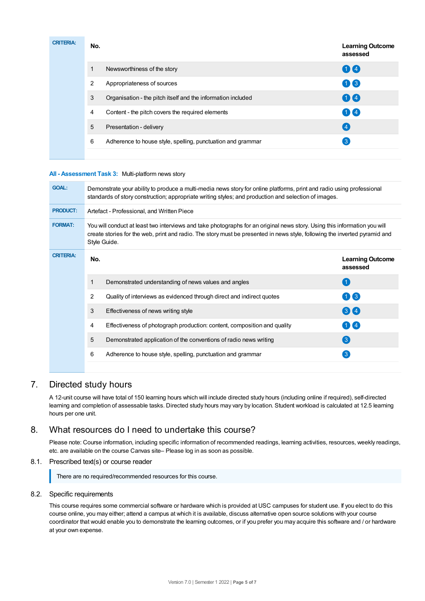| <b>CRITERIA:</b> | No. |                                                              | <b>Learning Outcome</b><br>assessed |
|------------------|-----|--------------------------------------------------------------|-------------------------------------|
|                  | 1   | Newsworthiness of the story                                  | 00                                  |
|                  | 2   | Appropriateness of sources                                   | $\bigcirc$                          |
|                  | 3   | Organisation - the pitch itself and the information included | 00                                  |
|                  | 4   | Content - the pitch covers the required elements             | $\bigoplus$                         |
|                  | 5   | Presentation - delivery                                      | (4)                                 |
|                  | 6   | Adherence to house style, spelling, punctuation and grammar  | $\mathbf{3}$                        |
|                  |     |                                                              |                                     |

#### **All - Assessment Task 3:** Multi-platform news story

| <b>GOAL:</b>     | Demonstrate your ability to produce a multi-media news story for online platforms, print and radio using professional<br>standards of story construction; appropriate writing styles; and production and selection of images.                                           |                                     |  |  |  |
|------------------|-------------------------------------------------------------------------------------------------------------------------------------------------------------------------------------------------------------------------------------------------------------------------|-------------------------------------|--|--|--|
| <b>PRODUCT:</b>  | Artefact - Professional, and Written Piece                                                                                                                                                                                                                              |                                     |  |  |  |
| <b>FORMAT:</b>   | You will conduct at least two interviews and take photographs for an original news story. Using this information you will<br>create stories for the web, print and radio. The story must be presented in news style, following the inverted pyramid and<br>Style Guide. |                                     |  |  |  |
| <b>CRITERIA:</b> | No.                                                                                                                                                                                                                                                                     | <b>Learning Outcome</b><br>assessed |  |  |  |
|                  | Demonstrated understanding of news values and angles<br>1                                                                                                                                                                                                               | (1)                                 |  |  |  |
|                  | 2<br>Quality of interviews as evidenced through direct and indirect quotes                                                                                                                                                                                              | 03                                  |  |  |  |
|                  | 3<br>Effectiveness of news writing style                                                                                                                                                                                                                                | 34                                  |  |  |  |
|                  | Effectiveness of photograph production: content, composition and quality<br>4                                                                                                                                                                                           | $1$ $\mathbf{I}$ 4                  |  |  |  |
|                  | 5<br>Demonstrated application of the conventions of radio news writing                                                                                                                                                                                                  | 3                                   |  |  |  |
|                  | 6<br>Adherence to house style, spelling, punctuation and grammar                                                                                                                                                                                                        | $\lceil 3 \rceil$                   |  |  |  |
|                  |                                                                                                                                                                                                                                                                         |                                     |  |  |  |

# 7. Directed study hours

A 12-unit course will have total of 150 learning hours which will include directed study hours (including online if required), self-directed learning and completion of assessable tasks. Directed study hours may vary by location. Student workload is calculated at 12.5 learning hours per one unit.

# 8. What resources do I need to undertake this course?

Please note: Course information, including specific information of recommended readings, learning activities, resources, weekly readings, etc. are available on the course Canvas site– Please log in as soon as possible.

#### 8.1. Prescribed text(s) or course reader

There are no required/recommended resources for this course.

#### 8.2. Specific requirements

This course requires some commercial software or hardware which is provided at USC campuses for student use. If you elect to do this course online, you may either; attend a campus at which it is available, discuss alternative open source solutions with your course coordinator that would enable you to demonstrate the learning outcomes, or if you prefer you may acquire this software and / or hardware at your own expense.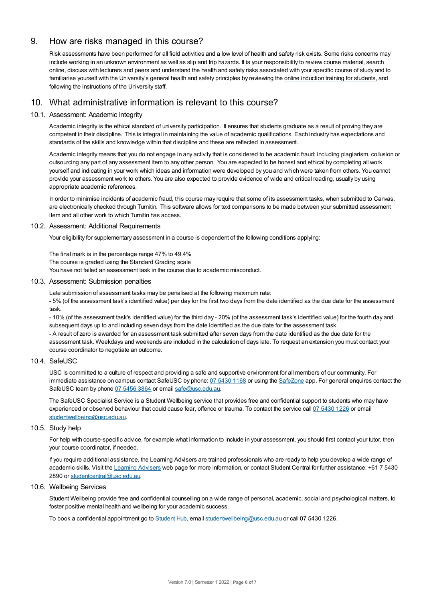# 9. How are risks managed in this course?

Risk assessments have been performed for all field activities and a low level of health and safety risk exists. Some risks concerns may include working in an unknown environment as well as slip and trip hazards. It is your responsibility to review course material, search online, discuss with lecturers and peers and understand the health and safety risks associated with your specific course of study and to familiarise yourself with the University's general health and safety principles by reviewing the online [induction](https://online.usc.edu.au/webapps/blackboard/content/listContentEditable.jsp?content_id=_632657_1&course_id=_14432_1) training for students, and following the instructions of the University staff.

# 10. What administrative information is relevant to this course?

## 10.1. Assessment: Academic Integrity

Academic integrity is the ethical standard of university participation. It ensures that students graduate as a result of proving they are competent in their discipline. This is integral in maintaining the value of academic qualifications. Each industry has expectations and standards of the skills and knowledge within that discipline and these are reflected in assessment.

Academic integrity means that you do not engage in any activity that is considered to be academic fraud; including plagiarism, collusion or outsourcing any part of any assessment item to any other person. You are expected to be honest and ethical by completing all work yourself and indicating in your work which ideas and information were developed by you and which were taken from others. You cannot provide your assessment work to others.You are also expected to provide evidence of wide and critical reading, usually by using appropriate academic references.

In order to minimise incidents of academic fraud, this course may require that some of its assessment tasks, when submitted to Canvas, are electronically checked through Turnitin. This software allows for text comparisons to be made between your submitted assessment item and all other work to which Turnitin has access.

#### 10.2. Assessment: Additional Requirements

Your eligibility for supplementary assessment in a course is dependent of the following conditions applying:

The final mark is in the percentage range 47% to 49.4% The course is graded using the Standard Grading scale You have not failed an assessment task in the course due to academic misconduct.

#### 10.3. Assessment: Submission penalties

Late submission of assessment tasks may be penalised at the following maximum rate:

- 5% (of the assessment task's identified value) per day for the first two days from the date identified as the due date for the assessment task.

- 10% (of the assessment task's identified value) for the third day - 20% (of the assessment task's identified value) for the fourth day and subsequent days up to and including seven days from the date identified as the due date for the assessment task.

- A result of zero is awarded for an assessment task submitted after seven days from the date identified as the due date for the assessment task. Weekdays and weekends are included in the calculation of days late. To request an extension you must contact your course coordinator to negotiate an outcome.

#### 10.4. SafeUSC

USC is committed to a culture of respect and providing a safe and supportive environment for all members of our community. For immediate assistance on campus contact SafeUSC by phone: 07 [5430](tel:07%205430%201168) 1168 or using the [SafeZone](https://www.safezoneapp.com) app. For general enquires contact the SafeUSC team by phone 07 [5456](tel:07%205456%203864) 3864 or email [safe@usc.edu.au](mailto:safe@usc.edu.au).

The SafeUSC Specialist Service is a Student Wellbeing service that provides free and confidential support to students who may have experienced or observed behaviour that could cause fear, offence or trauma. To contact the service call 07 [5430](tel:07%205430%201226) 1226 or email [studentwellbeing@usc.edu.au](mailto:studentwellbeing@usc.edu.au).

### 10.5. Study help

For help with course-specific advice, for example what information to include in your assessment, you should first contact your tutor, then your course coordinator, if needed.

If you require additional assistance, the Learning Advisers are trained professionals who are ready to help you develop a wide range of academic skills. Visit the Learning [Advisers](https://www.usc.edu.au/current-students/student-support/academic-and-study-support/learning-advisers) web page for more information, or contact Student Central for further assistance: +61 7 5430 2890 or [studentcentral@usc.edu.au](mailto:studentcentral@usc.edu.au).

## 10.6. Wellbeing Services

Student Wellbeing provide free and confidential counselling on a wide range of personal, academic, social and psychological matters, to foster positive mental health and wellbeing for your academic success.

To book a confidential appointment go to [Student](https://studenthub.usc.edu.au/) Hub, email [studentwellbeing@usc.edu.au](mailto:studentwellbeing@usc.edu.au) or call 07 5430 1226.